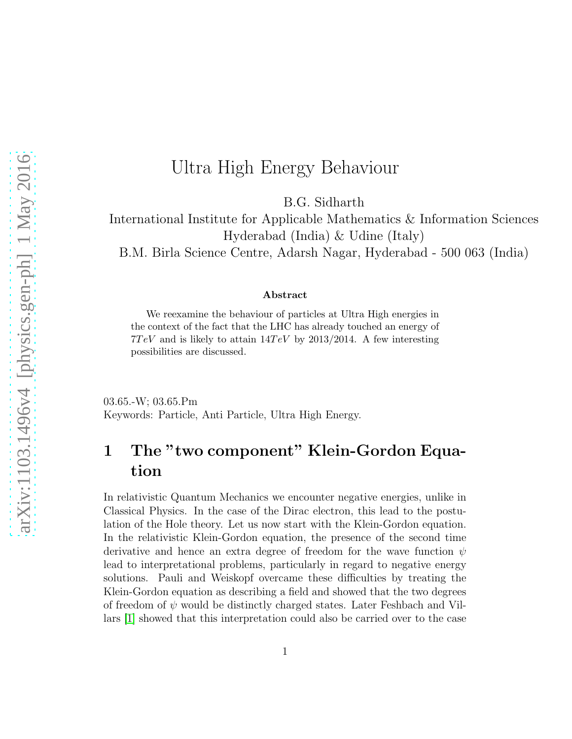# Ultra High Energy Behaviour

B.G. Sidharth

International Institute for Applicable Mathematics & Information Sciences Hyderabad (India) & Udine (Italy)

B.M. Birla Science Centre, Adarsh Nagar, Hyderabad - 500 063 (India)

#### Abstract

We reexamine the behaviour of particles at Ultra High energies in the context of the fact that the LHC has already touched an energy of  $7TeV$  and is likely to attain  $14TeV$  by 2013/2014. A few interesting possibilities are discussed.

03.65.-W; 03.65.Pm Keywords: Particle, Anti Particle, Ultra High Energy.

## 1 The "two component" Klein-Gordon Equation

In relativistic Quantum Mechanics we encounter negative energies, unlike in Classical Physics. In the case of the Dirac electron, this lead to the postulation of the Hole theory. Let us now start with the Klein-Gordon equation. In the relativistic Klein-Gordon equation, the presence of the second time derivative and hence an extra degree of freedom for the wave function  $\psi$ lead to interpretational problems, particularly in regard to negative energy solutions. Pauli and Weiskopf overcame these difficulties by treating the Klein-Gordon equation as describing a field and showed that the two degrees of freedom of  $\psi$  would be distinctly charged states. Later Feshbach and Villars [\[1\]](#page-11-0) showed that this interpretation could also be carried over to the case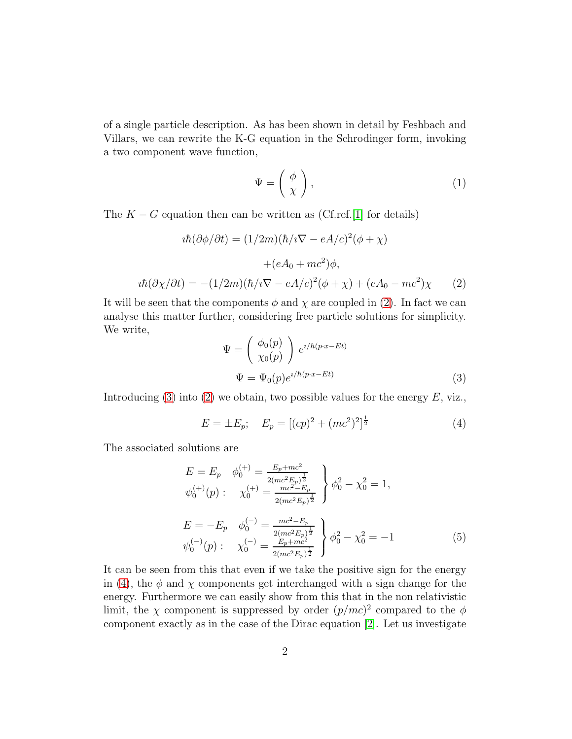of a single particle description. As has been shown in detail by Feshbach and Villars, we can rewrite the K-G equation in the Schrodinger form, invoking a two component wave function,

<span id="page-1-4"></span>
$$
\Psi = \left(\begin{array}{c} \phi \\ \chi \end{array}\right),\tag{1}
$$

The  $K - G$  equation then can be written as (Cf.ref.[\[1\]](#page-11-0) for details)

$$
i\hbar(\partial\phi/\partial t) = (1/2m)(\hbar/i\nabla - eA/c)^2(\phi + \chi)
$$

$$
+ (eA_0 + mc^2)\phi,
$$

$$
i\hbar(\partial\chi/\partial t) = -(1/2m)(\hbar/i\nabla - eA/c)^2(\phi + \chi) + (eA_0 - mc^2)\chi \qquad (2)
$$

<span id="page-1-0"></span>It will be seen that the components  $\phi$  and  $\chi$  are coupled in [\(2\)](#page-1-0). In fact we can analyse this matter further, considering free particle solutions for simplicity. We write,

<span id="page-1-1"></span>
$$
\Psi = \begin{pmatrix} \phi_0(p) \\ \chi_0(p) \end{pmatrix} e^{i/\hbar(p \cdot x - Et)} \n\Psi = \Psi_0(p) e^{i/\hbar(p \cdot x - Et)} \tag{3}
$$

Introducing [\(3\)](#page-1-1) into [\(2\)](#page-1-0) we obtain, two possible values for the energy  $E$ , viz.,

<span id="page-1-2"></span>
$$
E = \pm E_p; \quad E_p = [(cp)^2 + (mc^2)^2]^{\frac{1}{2}}
$$
 (4)

The associated solutions are

<span id="page-1-3"></span>
$$
E = E_p \quad \phi_0^{(+)} = \frac{E_p + mc^2}{2(mc^2 E_p)^{\frac{1}{2}}} \quad \phi_0^2 - \chi_0^2 = 1,
$$
  
\n
$$
\psi_0^{(+)}(p) : \quad \chi_0^{(+)} = \frac{mc^2 - E_p}{2(mc^2 E_p)^{\frac{1}{2}}} \quad \phi_0^2 - \chi_0^2 = 1,
$$
  
\n
$$
E = -E_p \quad \phi_0^{(-)} = \frac{mc^2 - E_p}{2(mc^2 E_p)^{\frac{1}{2}}} \quad \phi_0^2 - \chi_0^2 = -1
$$
  
\n
$$
\psi_0^{(-)}(p) : \quad \chi_0^{(-)} = \frac{E_p + mc^2}{2(mc^2 E_p)^{\frac{1}{2}}} \quad \phi_0^2 - \chi_0^2 = -1
$$
 (5)

It can be seen from this that even if we take the positive sign for the energy in [\(4\)](#page-1-2), the  $\phi$  and  $\chi$  components get interchanged with a sign change for the energy. Furthermore we can easily show from this that in the non relativistic limit, the  $\chi$  component is suppressed by order  $(p/mc)^2$  compared to the  $\phi$ component exactly as in the case of the Dirac equation [\[2\]](#page-11-1). Let us investigate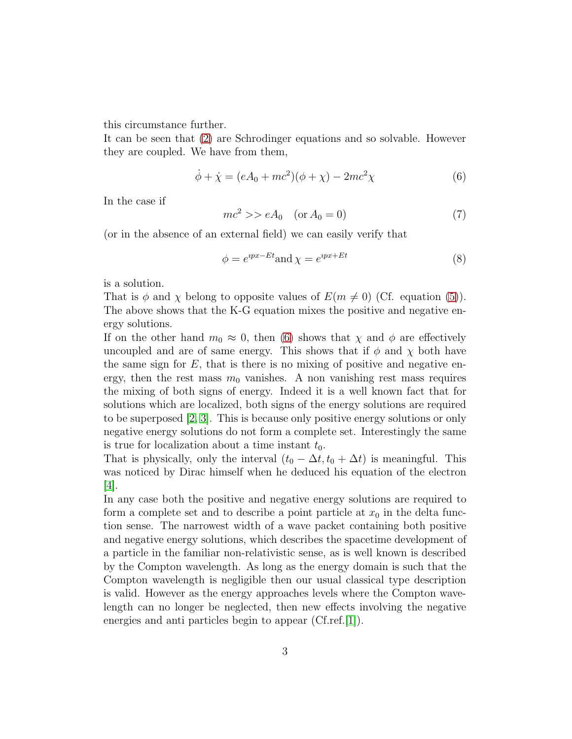this circumstance further.

It can be seen that [\(2\)](#page-1-0) are Schrodinger equations and so solvable. However they are coupled. We have from them,

<span id="page-2-0"></span>
$$
\dot{\phi} + \dot{\chi} = (eA_0 + mc^2)(\phi + \chi) - 2mc^2\chi
$$
\n(6)

In the case if

$$
mc^2 \gg eA_0 \quad (\text{or } A_0 = 0)
$$
\n
$$
\tag{7}
$$

(or in the absence of an external field) we can easily verify that

<span id="page-2-1"></span>
$$
\phi = e^{ipx - Et} \text{and} \chi = e^{ipx + Et} \tag{8}
$$

is a solution.

That is  $\phi$  and  $\chi$  belong to opposite values of  $E(m \neq 0)$  (Cf. equation [\(5\)](#page-1-3)). The above shows that the K-G equation mixes the positive and negative energy solutions.

If on the other hand  $m_0 \approx 0$ , then [\(6\)](#page-2-0) shows that  $\chi$  and  $\phi$  are effectively uncoupled and are of same energy. This shows that if  $\phi$  and  $\chi$  both have the same sign for  $E$ , that is there is no mixing of positive and negative energy, then the rest mass  $m_0$  vanishes. A non vanishing rest mass requires the mixing of both signs of energy. Indeed it is a well known fact that for solutions which are localized, both signs of the energy solutions are required to be superposed [\[2,](#page-11-1) [3\]](#page-11-2). This is because only positive energy solutions or only negative energy solutions do not form a complete set. Interestingly the same is true for localization about a time instant  $t_0$ .

That is physically, only the interval  $(t_0 - \Delta t, t_0 + \Delta t)$  is meaningful. This was noticed by Dirac himself when he deduced his equation of the electron [\[4\]](#page-11-3).

In any case both the positive and negative energy solutions are required to form a complete set and to describe a point particle at  $x_0$  in the delta function sense. The narrowest width of a wave packet containing both positive and negative energy solutions, which describes the spacetime development of a particle in the familiar non-relativistic sense, as is well known is described by the Compton wavelength. As long as the energy domain is such that the Compton wavelength is negligible then our usual classical type description is valid. However as the energy approaches levels where the Compton wavelength can no longer be neglected, then new effects involving the negative energies and anti particles begin to appear (Cf.ref.[\[1\]](#page-11-0)).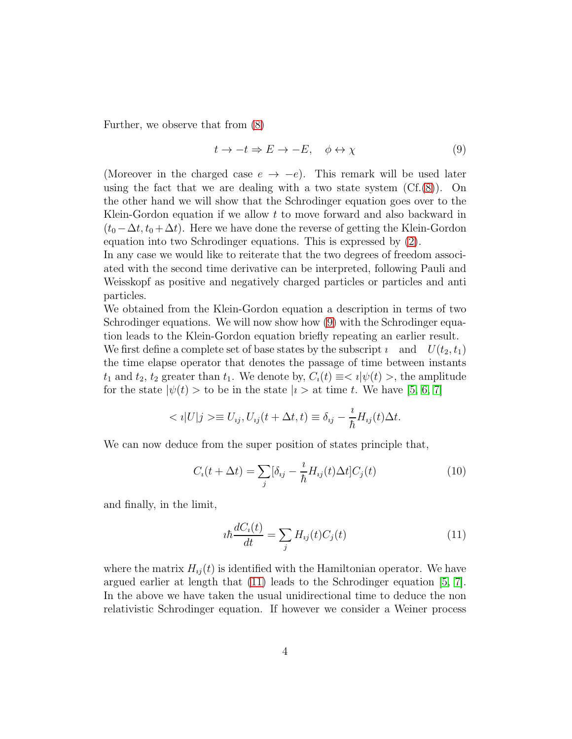Further, we observe that from [\(8\)](#page-2-1)

<span id="page-3-0"></span>
$$
t \to -t \Rightarrow E \to -E, \quad \phi \leftrightarrow \chi \tag{9}
$$

(Moreover in the charged case  $e \rightarrow -e$ ). This remark will be used later using the fact that we are dealing with a two state system  $(CF.(8))$  $(CF.(8))$  $(CF.(8))$ . On the other hand we will show that the Schrodinger equation goes over to the Klein-Gordon equation if we allow t to move forward and also backward in  $(t_0 - \Delta t, t_0 + \Delta t)$ . Here we have done the reverse of getting the Klein-Gordon equation into two Schrodinger equations. This is expressed by [\(2\)](#page-1-0).

In any case we would like to reiterate that the two degrees of freedom associated with the second time derivative can be interpreted, following Pauli and Weisskopf as positive and negatively charged particles or particles and anti particles.

We obtained from the Klein-Gordon equation a description in terms of two Schrodinger equations. We will now show how  $(9)$  with the Schrodinger equation leads to the Klein-Gordon equation briefly repeating an earlier result.

We first define a complete set of base states by the subscript  $\imath$  and  $U(t_2, t_1)$ the time elapse operator that denotes the passage of time between instants  $t_1$  and  $t_2$ ,  $t_2$  greater than  $t_1$ . We denote by,  $C_i(t) \equiv \langle i | \psi(t) \rangle$ , the amplitude for the state  $|\psi(t)\rangle$  to be in the state  $|i\rangle$  at time t. We have [\[5,](#page-11-4) [6,](#page-11-5) [7\]](#page-11-6)

$$
\langle i|U|j\rangle \equiv U_{ij}, U_{ij}(t+\Delta t, t) \equiv \delta_{ij} - \frac{i}{\hbar}H_{ij}(t)\Delta t.
$$

We can now deduce from the super position of states principle that,

<span id="page-3-2"></span>
$$
C_i(t + \Delta t) = \sum_j [\delta_{ij} - \frac{i}{\hbar} H_{ij}(t) \Delta t] C_j(t)
$$
\n(10)

and finally, in the limit,

<span id="page-3-1"></span>
$$
i\hbar \frac{dC_i(t)}{dt} = \sum_j H_{ij}(t)C_j(t)
$$
\n(11)

where the matrix  $H_{ij}(t)$  is identified with the Hamiltonian operator. We have argued earlier at length that [\(11\)](#page-3-1) leads to the Schrodinger equation [\[5,](#page-11-4) [7\]](#page-11-6). In the above we have taken the usual unidirectional time to deduce the non relativistic Schrodinger equation. If however we consider a Weiner process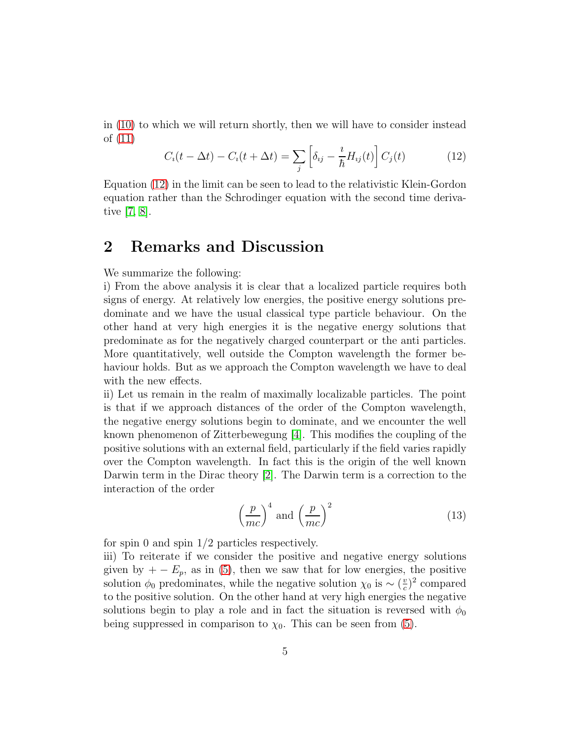in [\(10\)](#page-3-2) to which we will return shortly, then we will have to consider instead of [\(11\)](#page-3-1)

<span id="page-4-0"></span>
$$
C_i(t - \Delta t) - C_i(t + \Delta t) = \sum_j \left[ \delta_{ij} - \frac{i}{\hbar} H_{ij}(t) \right] C_j(t)
$$
 (12)

Equation [\(12\)](#page-4-0) in the limit can be seen to lead to the relativistic Klein-Gordon equation rather than the Schrodinger equation with the second time derivative [\[7,](#page-11-6) [8\]](#page-11-7).

## 2 Remarks and Discussion

We summarize the following:

i) From the above analysis it is clear that a localized particle requires both signs of energy. At relatively low energies, the positive energy solutions predominate and we have the usual classical type particle behaviour. On the other hand at very high energies it is the negative energy solutions that predominate as for the negatively charged counterpart or the anti particles. More quantitatively, well outside the Compton wavelength the former behaviour holds. But as we approach the Compton wavelength we have to deal with the new effects.

ii) Let us remain in the realm of maximally localizable particles. The point is that if we approach distances of the order of the Compton wavelength, the negative energy solutions begin to dominate, and we encounter the well known phenomenon of Zitterbewegung [\[4\]](#page-11-3). This modifies the coupling of the positive solutions with an external field, particularly if the field varies rapidly over the Compton wavelength. In fact this is the origin of the well known Darwin term in the Dirac theory [\[2\]](#page-11-1). The Darwin term is a correction to the interaction of the order

<span id="page-4-1"></span>
$$
\left(\frac{p}{mc}\right)^4 \text{ and } \left(\frac{p}{mc}\right)^2 \tag{13}
$$

for spin 0 and spin 1/2 particles respectively.

iii) To reiterate if we consider the positive and negative energy solutions given by  $+ - E_p$ , as in [\(5\)](#page-1-3), then we saw that for low energies, the positive solution  $\phi_0$  predominates, while the negative solution  $\chi_0$  is ~  $(\frac{v}{c})$  $(\frac{v}{c})^2$  compared to the positive solution. On the other hand at very high energies the negative solutions begin to play a role and in fact the situation is reversed with  $\phi_0$ being suppressed in comparison to  $\chi_0$ . This can be seen from [\(5\)](#page-1-3).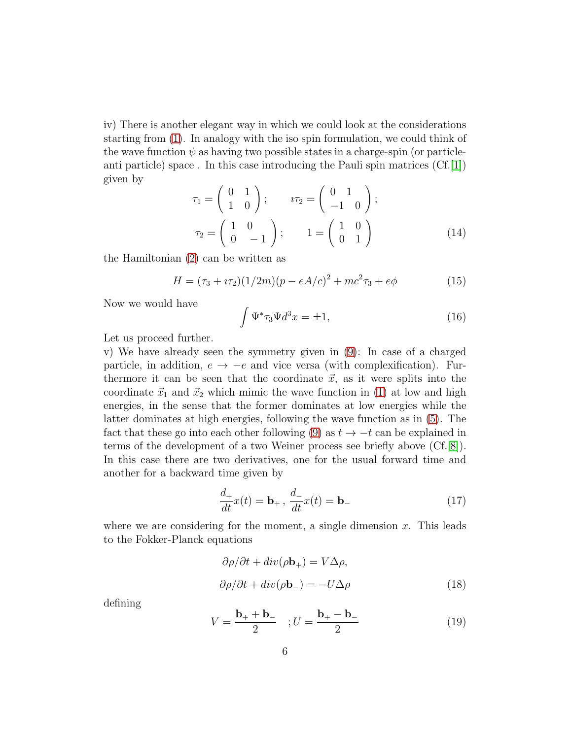iv) There is another elegant way in which we could look at the considerations starting from [\(1\)](#page-1-4). In analogy with the iso spin formulation, we could think of the wave function  $\psi$  as having two possible states in a charge-spin (or particleanti particle) space . In this case introducing the Pauli spin matrices (Cf.[\[1\]](#page-11-0)) given by

$$
\tau_1 = \begin{pmatrix} 0 & 1 \\ 1 & 0 \end{pmatrix}; \qquad \iota\tau_2 = \begin{pmatrix} 0 & 1 \\ -1 & 0 \end{pmatrix};
$$

$$
\tau_2 = \begin{pmatrix} 1 & 0 \\ 0 & -1 \end{pmatrix}; \qquad 1 = \begin{pmatrix} 1 & 0 \\ 0 & 1 \end{pmatrix}
$$
(14)

the Hamiltonian [\(2\)](#page-1-0) can be written as

$$
H = (\tau_3 + i\tau_2)(1/2m)(p - eA/c)^2 + mc^2 \tau_3 + e\phi \tag{15}
$$

Now we would have

$$
\int \Psi^* \tau_3 \Psi d^3 x = \pm 1,\tag{16}
$$

Let us proceed further.

v) We have already seen the symmetry given in [\(9\)](#page-3-0): In case of a charged particle, in addition,  $e \rightarrow -e$  and vice versa (with complexification). Furthermore it can be seen that the coordinate  $\vec{x}$ , as it were splits into the coordinate  $\vec{x}_1$  and  $\vec{x}_2$  which mimic the wave function in [\(1\)](#page-1-4) at low and high energies, in the sense that the former dominates at low energies while the latter dominates at high energies, following the wave function as in [\(5\)](#page-1-3). The fact that these go into each other following [\(9\)](#page-3-0) as  $t \to -t$  can be explained in terms of the development of a two Weiner process see briefly above (Cf.[\[8\]](#page-11-7)). In this case there are two derivatives, one for the usual forward time and another for a backward time given by

$$
\frac{d_+}{dt}x(t) = \mathbf{b}_+, \ \frac{d_-}{dt}x(t) = \mathbf{b}_-\tag{17}
$$

where we are considering for the moment, a single dimension  $x$ . This leads to the Fokker-Planck equations

<span id="page-5-0"></span>
$$
\partial \rho / \partial t + div(\rho \mathbf{b}_{+}) = V \Delta \rho,
$$
  

$$
\partial \rho / \partial t + div(\rho \mathbf{b}_{-}) = -U \Delta \rho
$$
 (18)

defining

<span id="page-5-1"></span>
$$
V = \frac{\mathbf{b}_{+} + \mathbf{b}_{-}}{2} \quad ; U = \frac{\mathbf{b}_{+} - \mathbf{b}_{-}}{2} \tag{19}
$$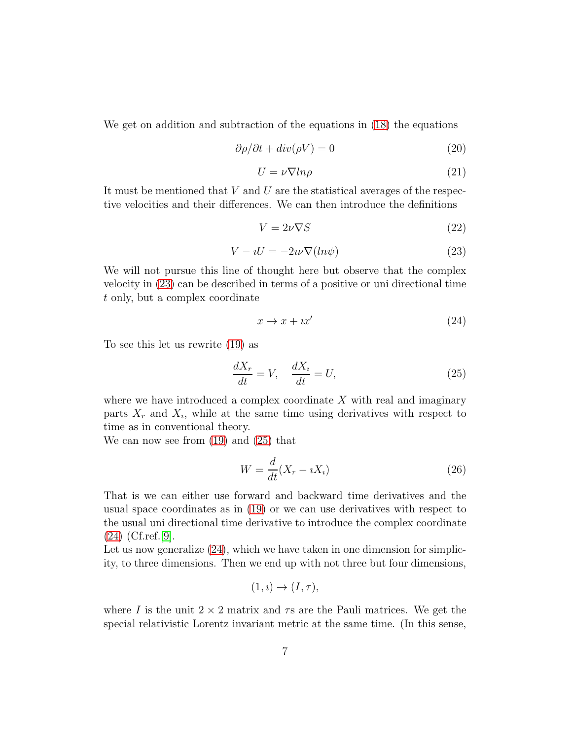We get on addition and subtraction of the equations in [\(18\)](#page-5-0) the equations

$$
\frac{\partial \rho}{\partial t} + \operatorname{div}(\rho V) = 0 \tag{20}
$$

$$
U = \nu \nabla \ln \rho \tag{21}
$$

It must be mentioned that  $V$  and  $U$  are the statistical averages of the respective velocities and their differences. We can then introduce the definitions

$$
V = 2\nu\nabla S \tag{22}
$$

<span id="page-6-0"></span>
$$
V - iU = -2i\nu \nabla (ln\psi)
$$
 (23)

We will not pursue this line of thought here but observe that the complex velocity in [\(23\)](#page-6-0) can be described in terms of a positive or uni directional time t only, but a complex coordinate

<span id="page-6-2"></span>
$$
x \to x + i x'
$$
 (24)

To see this let us rewrite [\(19\)](#page-5-1) as

<span id="page-6-1"></span>
$$
\frac{dX_r}{dt} = V, \quad \frac{dX_i}{dt} = U,\tag{25}
$$

where we have introduced a complex coordinate  $X$  with real and imaginary parts  $X_r$  and  $X_i$ , while at the same time using derivatives with respect to time as in conventional theory.

We can now see from [\(19\)](#page-5-1) and [\(25\)](#page-6-1) that

$$
W = \frac{d}{dt}(X_r - iX_i)
$$
\n(26)

That is we can either use forward and backward time derivatives and the usual space coordinates as in [\(19\)](#page-5-1) or we can use derivatives with respect to the usual uni directional time derivative to introduce the complex coordinate [\(24\)](#page-6-2) (Cf.ref.[\[9\]](#page-11-8).

Let us now generalize  $(24)$ , which we have taken in one dimension for simplicity, to three dimensions. Then we end up with not three but four dimensions,

$$
(1, i) \rightarrow (I, \tau),
$$

where I is the unit  $2 \times 2$  matrix and  $\tau s$  are the Pauli matrices. We get the special relativistic Lorentz invariant metric at the same time. (In this sense,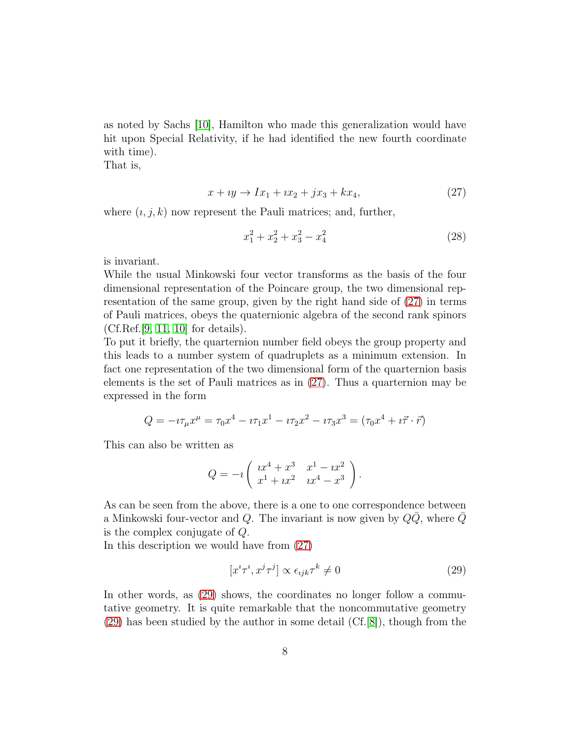as noted by Sachs [\[10\]](#page-11-9), Hamilton who made this generalization would have hit upon Special Relativity, if he had identified the new fourth coordinate with time).

That is,

<span id="page-7-0"></span>
$$
x + iy \to Ix_1 + ix_2 + jx_3 + kx_4, \tag{27}
$$

where  $(i, j, k)$  now represent the Pauli matrices; and, further,

$$
x_1^2 + x_2^2 + x_3^2 - x_4^2 \tag{28}
$$

is invariant.

While the usual Minkowski four vector transforms as the basis of the four dimensional representation of the Poincare group, the two dimensional representation of the same group, given by the right hand side of [\(27\)](#page-7-0) in terms of Pauli matrices, obeys the quaternionic algebra of the second rank spinors (Cf.Ref.[\[9,](#page-11-8) [11,](#page-11-10) [10\]](#page-11-9) for details).

To put it briefly, the quarternion number field obeys the group property and this leads to a number system of quadruplets as a minimum extension. In fact one representation of the two dimensional form of the quarternion basis elements is the set of Pauli matrices as in [\(27\)](#page-7-0). Thus a quarternion may be expressed in the form

$$
Q = -i\tau_{\mu}x^{\mu} = \tau_0x^4 - i\tau_1x^1 - i\tau_2x^2 - i\tau_3x^3 = (\tau_0x^4 + i\vec{\tau} \cdot \vec{r})
$$

This can also be written as

$$
Q = -i \left( \begin{array}{cc} x^4 + x^3 & x^1 - ix^2 \\ x^1 + ix^2 & ix^4 - x^3 \end{array} \right).
$$

As can be seen from the above, there is a one to one correspondence between a Minkowski four-vector and Q. The invariant is now given by  $Q\bar{Q}$ , where  $\bar{Q}$ is the complex conjugate of Q.

In this description we would have from [\(27\)](#page-7-0)

<span id="page-7-1"></span>
$$
[x^i \tau^i, x^j \tau^j] \propto \epsilon_{ijk} \tau^k \neq 0 \tag{29}
$$

In other words, as  $(29)$  shows, the coordinates no longer follow a commutative geometry. It is quite remarkable that the noncommutative geometry [\(29\)](#page-7-1) has been studied by the author in some detail (Cf.[\[8\]](#page-11-7)), though from the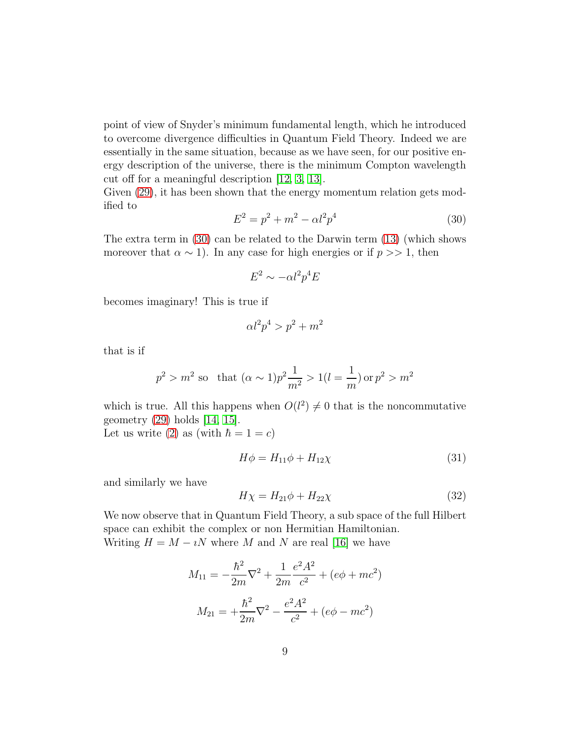point of view of Snyder's minimum fundamental length, which he introduced to overcome divergence difficulties in Quantum Field Theory. Indeed we are essentially in the same situation, because as we have seen, for our positive energy description of the universe, there is the minimum Compton wavelength cut off for a meaningful description [\[12,](#page-11-11) [3,](#page-11-2) [13\]](#page-12-0).

Given  $(29)$ , it has been shown that the energy momentum relation gets modified to

<span id="page-8-0"></span>
$$
E^2 = p^2 + m^2 - \alpha l^2 p^4 \tag{30}
$$

The extra term in [\(30\)](#page-8-0) can be related to the Darwin term [\(13\)](#page-4-1) (which shows moreover that  $\alpha \sim 1$ ). In any case for high energies or if  $p >> 1$ , then

$$
E^2 \sim -\alpha l^2 p^4 E
$$

becomes imaginary! This is true if

$$
\alpha l^2 p^4 > p^2 + m^2
$$

that is if

$$
p^2 > m^2
$$
 so that  $(\alpha \sim 1)p^2 \frac{1}{m^2} > 1(l = \frac{1}{m})$  or  $p^2 > m^2$ 

which is true. All this happens when  $O(l^2) \neq 0$  that is the noncommutative geometry [\(29\)](#page-7-1) holds [\[14,](#page-12-1) [15\]](#page-12-2).

Let us write [\(2\)](#page-1-0) as (with  $\hbar = 1 = c$ )

$$
H\phi = H_{11}\phi + H_{12}\chi \tag{31}
$$

and similarly we have

$$
H\chi = H_{21}\phi + H_{22}\chi \tag{32}
$$

We now observe that in Quantum Field Theory, a sub space of the full Hilbert space can exhibit the complex or non Hermitian Hamiltonian. Writing  $H = M - iN$  where M and N are real [\[16\]](#page-12-3) we have

$$
M_{11} = -\frac{\hbar^2}{2m}\nabla^2 + \frac{1}{2m}\frac{e^2A^2}{c^2} + (e\phi + mc^2)
$$

$$
M_{21} = +\frac{\hbar^2}{2m}\nabla^2 - \frac{e^2A^2}{c^2} + (e\phi - mc^2)
$$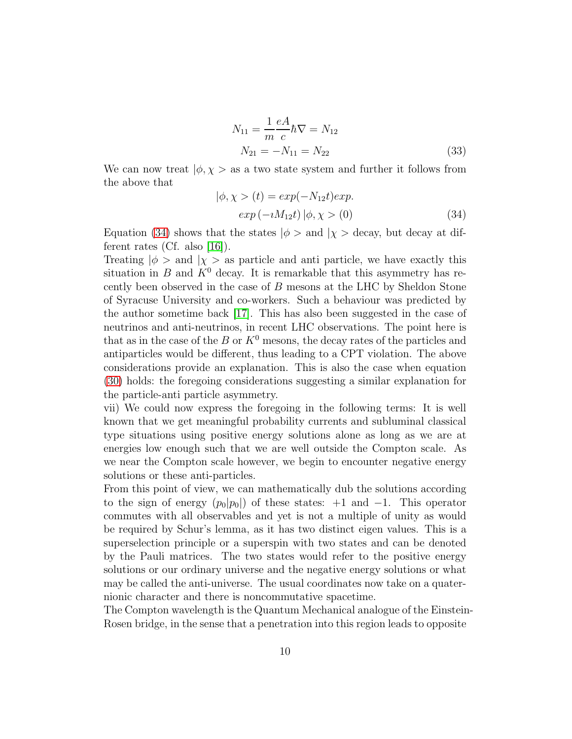$$
N_{11} = \frac{1}{m} \frac{eA}{c} \hbar \nabla = N_{12}
$$
  
\n
$$
N_{21} = -N_{11} = N_{22}
$$
\n(33)

We can now treat  $|\phi, \chi\rangle$  as a two state system and further it follows from the above that

<span id="page-9-0"></span>
$$
|\phi, \chi\rangle(t) = exp(-N_{12}t)exp.
$$
  
 
$$
exp(-iM_{12}t) |\phi, \chi\rangle(0)
$$
 (34)

Equation [\(34\)](#page-9-0) shows that the states  $|\phi>$  and  $|\chi>$  decay, but decay at different rates (Cf. also [\[16\]](#page-12-3)).

Treating  $|\phi\rangle$  and  $|\chi\rangle$  as particle and anti-particle, we have exactly this situation in B and  $K^0$  decay. It is remarkable that this asymmetry has recently been observed in the case of B mesons at the LHC by Sheldon Stone of Syracuse University and co-workers. Such a behaviour was predicted by the author sometime back [\[17\]](#page-12-4). This has also been suggested in the case of neutrinos and anti-neutrinos, in recent LHC observations. The point here is that as in the case of the B or  $K^0$  mesons, the decay rates of the particles and antiparticles would be different, thus leading to a CPT violation. The above considerations provide an explanation. This is also the case when equation [\(30\)](#page-8-0) holds: the foregoing considerations suggesting a similar explanation for the particle-anti particle asymmetry.

vii) We could now express the foregoing in the following terms: It is well known that we get meaningful probability currents and subluminal classical type situations using positive energy solutions alone as long as we are at energies low enough such that we are well outside the Compton scale. As we near the Compton scale however, we begin to encounter negative energy solutions or these anti-particles.

From this point of view, we can mathematically dub the solutions according to the sign of energy  $(p_0|p_0|)$  of these states:  $+1$  and  $-1$ . This operator commutes with all observables and yet is not a multiple of unity as would be required by Schur's lemma, as it has two distinct eigen values. This is a superselection principle or a superspin with two states and can be denoted by the Pauli matrices. The two states would refer to the positive energy solutions or our ordinary universe and the negative energy solutions or what may be called the anti-universe. The usual coordinates now take on a quaternionic character and there is noncommutative spacetime.

The Compton wavelength is the Quantum Mechanical analogue of the Einstein-Rosen bridge, in the sense that a penetration into this region leads to opposite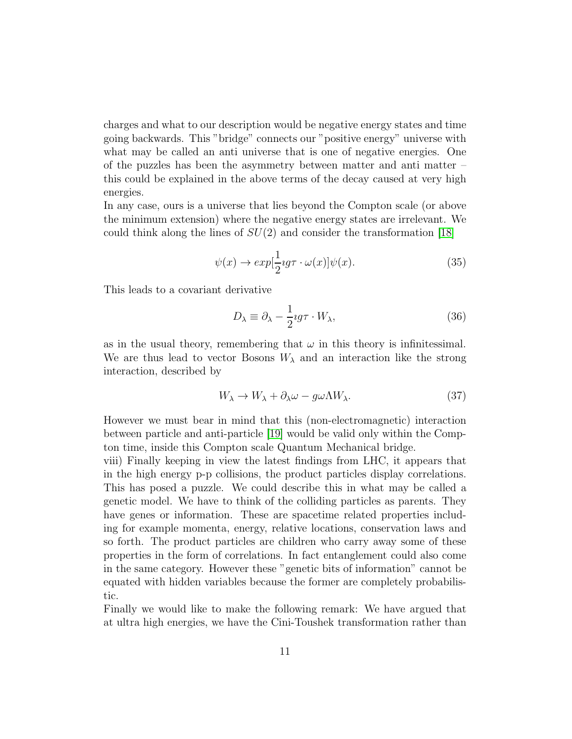charges and what to our description would be negative energy states and time going backwards. This "bridge" connects our "positive energy" universe with what may be called an anti universe that is one of negative energies. One of the puzzles has been the asymmetry between matter and anti matter – this could be explained in the above terms of the decay caused at very high energies.

In any case, ours is a universe that lies beyond the Compton scale (or above the minimum extension) where the negative energy states are irrelevant. We could think along the lines of  $SU(2)$  and consider the transformation [\[18\]](#page-12-5)

$$
\psi(x) \to \exp[\frac{1}{2}ig\tau \cdot \omega(x)]\psi(x). \tag{35}
$$

This leads to a covariant derivative

$$
D_{\lambda} \equiv \partial_{\lambda} - \frac{1}{2} \imath g \tau \cdot W_{\lambda}, \tag{36}
$$

as in the usual theory, remembering that  $\omega$  in this theory is infinitessimal. We are thus lead to vector Bosons  $W_{\lambda}$  and an interaction like the strong interaction, described by

$$
W_{\lambda} \to W_{\lambda} + \partial_{\lambda} \omega - g \omega \Lambda W_{\lambda}.
$$
 (37)

However we must bear in mind that this (non-electromagnetic) interaction between particle and anti-particle [\[19\]](#page-12-6) would be valid only within the Compton time, inside this Compton scale Quantum Mechanical bridge.

viii) Finally keeping in view the latest findings from LHC, it appears that in the high energy p-p collisions, the product particles display correlations. This has posed a puzzle. We could describe this in what may be called a genetic model. We have to think of the colliding particles as parents. They have genes or information. These are spacetime related properties including for example momenta, energy, relative locations, conservation laws and so forth. The product particles are children who carry away some of these properties in the form of correlations. In fact entanglement could also come in the same category. However these "genetic bits of information" cannot be equated with hidden variables because the former are completely probabilistic.

Finally we would like to make the following remark: We have argued that at ultra high energies, we have the Cini-Toushek transformation rather than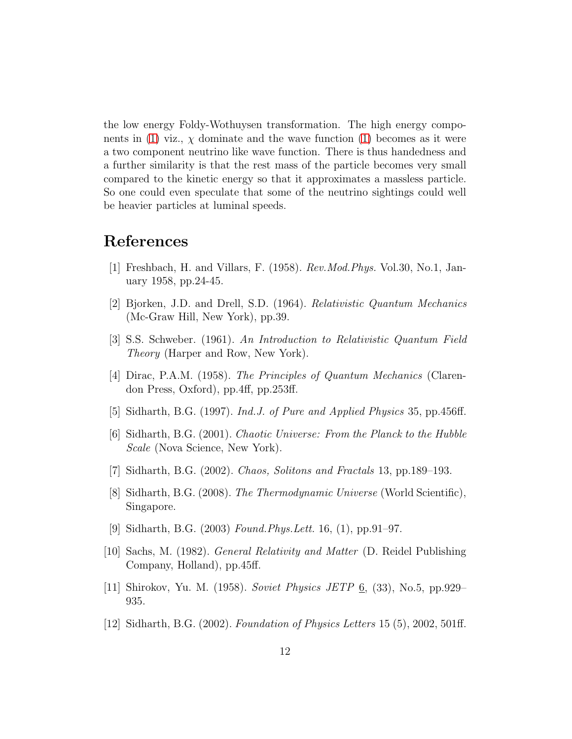the low energy Foldy-Wothuysen transformation. The high energy compo-nents in [\(1\)](#page-1-4) viz.,  $\chi$  dominate and the wave function (1) becomes as it were a two component neutrino like wave function. There is thus handedness and a further similarity is that the rest mass of the particle becomes very small compared to the kinetic energy so that it approximates a massless particle. So one could even speculate that some of the neutrino sightings could well be heavier particles at luminal speeds.

## <span id="page-11-0"></span>References

- <span id="page-11-1"></span>[1] Freshbach, H. and Villars, F. (1958). *Rev.Mod.Phys.* Vol.30, No.1, January 1958, pp.24-45.
- <span id="page-11-2"></span>[2] Bjorken, J.D. and Drell, S.D. (1964). *Relativistic Quantum Mechanics* (Mc-Graw Hill, New York), pp.39.
- <span id="page-11-3"></span>[3] S.S. Schweber. (1961). *An Introduction to Relativistic Quantum Field Theory* (Harper and Row, New York).
- [4] Dirac, P.A.M. (1958). *The Principles of Quantum Mechanics* (Clarendon Press, Oxford), pp.4ff, pp.253ff.
- <span id="page-11-5"></span><span id="page-11-4"></span>[5] Sidharth, B.G. (1997). *Ind.J. of Pure and Applied Physics* 35, pp.456ff.
- [6] Sidharth, B.G. (2001). *Chaotic Universe: From the Planck to the Hubble Scale* (Nova Science, New York).
- <span id="page-11-7"></span><span id="page-11-6"></span>[7] Sidharth, B.G. (2002). *Chaos, Solitons and Fractals* 13, pp.189–193.
- <span id="page-11-8"></span>[8] Sidharth, B.G. (2008). *The Thermodynamic Universe* (World Scientific), Singapore.
- <span id="page-11-9"></span>[9] Sidharth, B.G. (2003) *Found.Phys.Lett.* 16, (1), pp.91–97.
- [10] Sachs, M. (1982). *General Relativity and Matter* (D. Reidel Publishing Company, Holland), pp.45ff.
- <span id="page-11-11"></span><span id="page-11-10"></span>[11] Shirokov, Yu. M. (1958). *Soviet Physics JETP* 6, (33), No.5, pp.929– 935.
- [12] Sidharth, B.G. (2002). *Foundation of Physics Letters* 15 (5), 2002, 501ff.